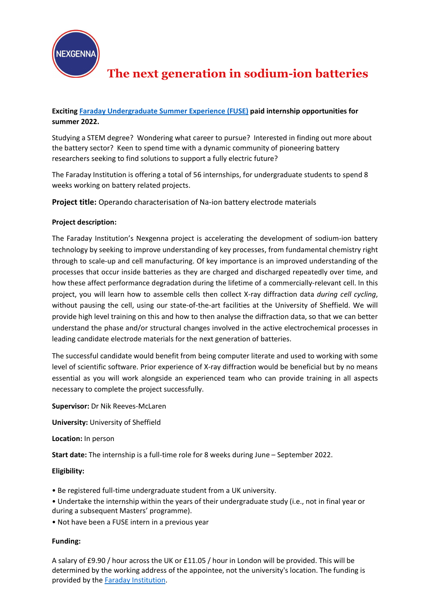

# **The next generation in sodium-ion batteries**

## **Exciting [Faraday Undergraduate Summer Experience \(FUSE\)](https://www.faraday.ac.uk/fuse-2022/) paid internship opportunities for summer 2022.**

Studying a STEM degree? Wondering what career to pursue? Interested in finding out more about the battery sector? Keen to spend time with a dynamic community of pioneering battery researchers seeking to find solutions to support a fully electric future?

The Faraday Institution is offering a total of 56 internships, for undergraduate students to spend 8 weeks working on battery related projects.

**Project title:** Operando characterisation of Na-ion battery electrode materials

### **Project description:**

The Faraday Institution's Nexgenna project is accelerating the development of sodium-ion battery technology by seeking to improve understanding of key processes, from fundamental chemistry right through to scale-up and cell manufacturing. Of key importance is an improved understanding of the processes that occur inside batteries as they are charged and discharged repeatedly over time, and how these affect performance degradation during the lifetime of a commercially-relevant cell. In this project, you will learn how to assemble cells then collect X-ray diffraction data *during cell cycling*, without pausing the cell, using our state-of-the-art facilities at the University of Sheffield. We will provide high level training on this and how to then analyse the diffraction data, so that we can better understand the phase and/or structural changes involved in the active electrochemical processes in leading candidate electrode materials for the next generation of batteries.

The successful candidate would benefit from being computer literate and used to working with some level of scientific software. Prior experience of X-ray diffraction would be beneficial but by no means essential as you will work alongside an experienced team who can provide training in all aspects necessary to complete the project successfully.

**Supervisor:** Dr Nik Reeves-McLaren

**University:** University of Sheffield

**Location:** In person

**Start date:** The internship is a full-time role for 8 weeks during June – September 2022.

**Eligibility:**

- Be registered full-time undergraduate student from a UK university.
- Undertake the internship within the years of their undergraduate study (i.e., not in final year or during a subsequent Masters' programme).
- Not have been a FUSE intern in a previous year

### **Funding:**

A salary of £9.90 / hour across the UK or £11.05 / hour in London will be provided. This will be determined by the working address of the appointee, not the university's location. The funding is provided by the **Faraday Institution**.